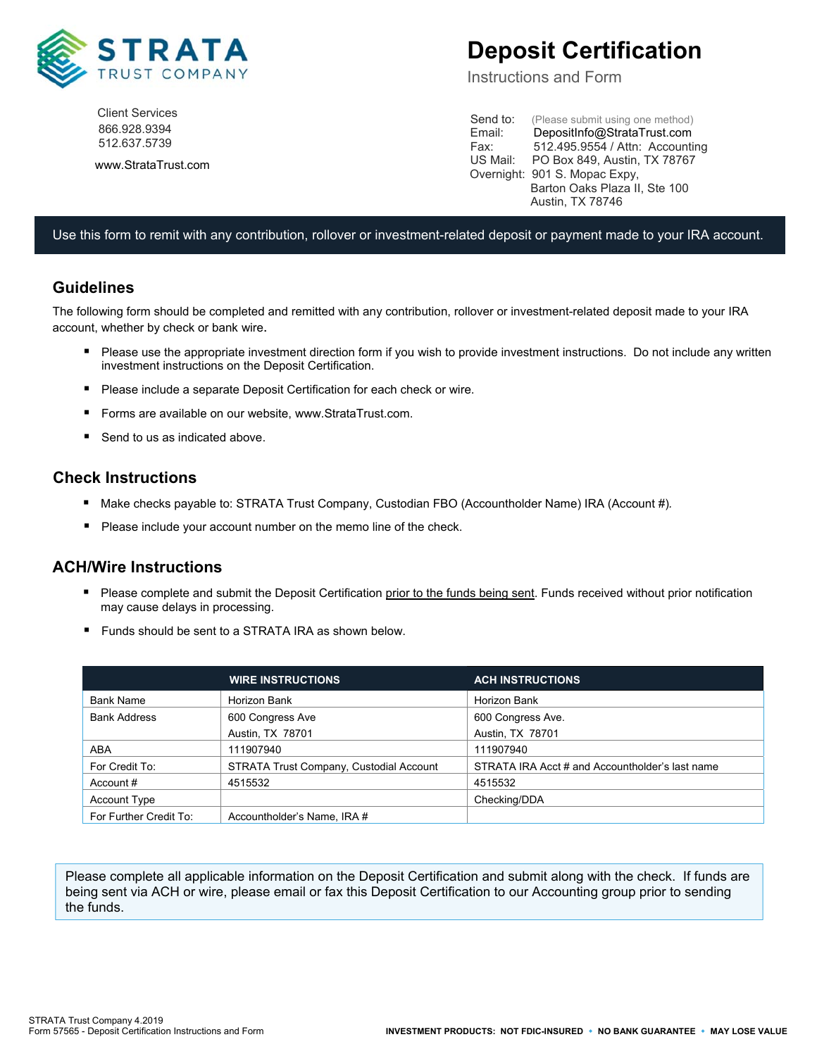

Client Services 866.928.9394 512.637.5739

www.StrataTrust.com

# **Deposit Certification**

Instructions and Form

Send to: (Please submit using one method)<br>Email: DepositInfo@StrataTrust.com DepositInfo@StrataTrust.com Fax: 512.495.9554 / Attn: Accounting US Mail: PO Box 849, Austin, TX 78767 Overnight: 901 S. Mopac Expy, Barton Oaks Plaza II, Ste 100 Austin, TX 78746

#### Use this form to remit with any contribution, rollover or investment-related deposit or payment made to your IRA account.

#### **Guidelines**

The following form should be completed and remitted with any contribution, rollover or investment-related deposit made to your IRA account, whether by check or bank wire.

- Please use the appropriate investment direction form if you wish to provide investment instructions. Do not include any written investment instructions on the Deposit Certification.
- **Please include a separate Deposit Certification for each check or wire.**
- Forms are available on our website, www.StrataTrust.com.
- Send to us as indicated above.

#### **Check Instructions**

- Make checks payable to: STRATA Trust Company, Custodian FBO (Accountholder Name) IRA (Account #)*.*
- Please include your account number on the memo line of the check.

### **ACH/Wire Instructions**

- Please complete and submit the Deposit Certification prior to the funds being sent. Funds received without prior notification may cause delays in processing.
- Funds should be sent to a STRATA IRA as shown below.

|                        | <b>WIRE INSTRUCTIONS</b>                | <b>ACH INSTRUCTIONS</b>                         |
|------------------------|-----------------------------------------|-------------------------------------------------|
| <b>Bank Name</b>       | Horizon Bank                            | Horizon Bank                                    |
| <b>Bank Address</b>    | 600 Congress Ave                        | 600 Congress Ave.                               |
|                        | Austin, TX 78701                        | Austin, TX 78701                                |
| ABA                    | 111907940                               | 111907940                                       |
| For Credit To:         | STRATA Trust Company, Custodial Account | STRATA IRA Acct # and Accountholder's last name |
| Account #              | 4515532                                 | 4515532                                         |
| <b>Account Type</b>    |                                         | Checking/DDA                                    |
| For Further Credit To: | Accountholder's Name, IRA #             |                                                 |

Please complete all applicable information on the Deposit Certification and submit along with the check. If funds are being sent via ACH or wire, please email or fax this Deposit Certification to our Accounting group prior to sending the funds.